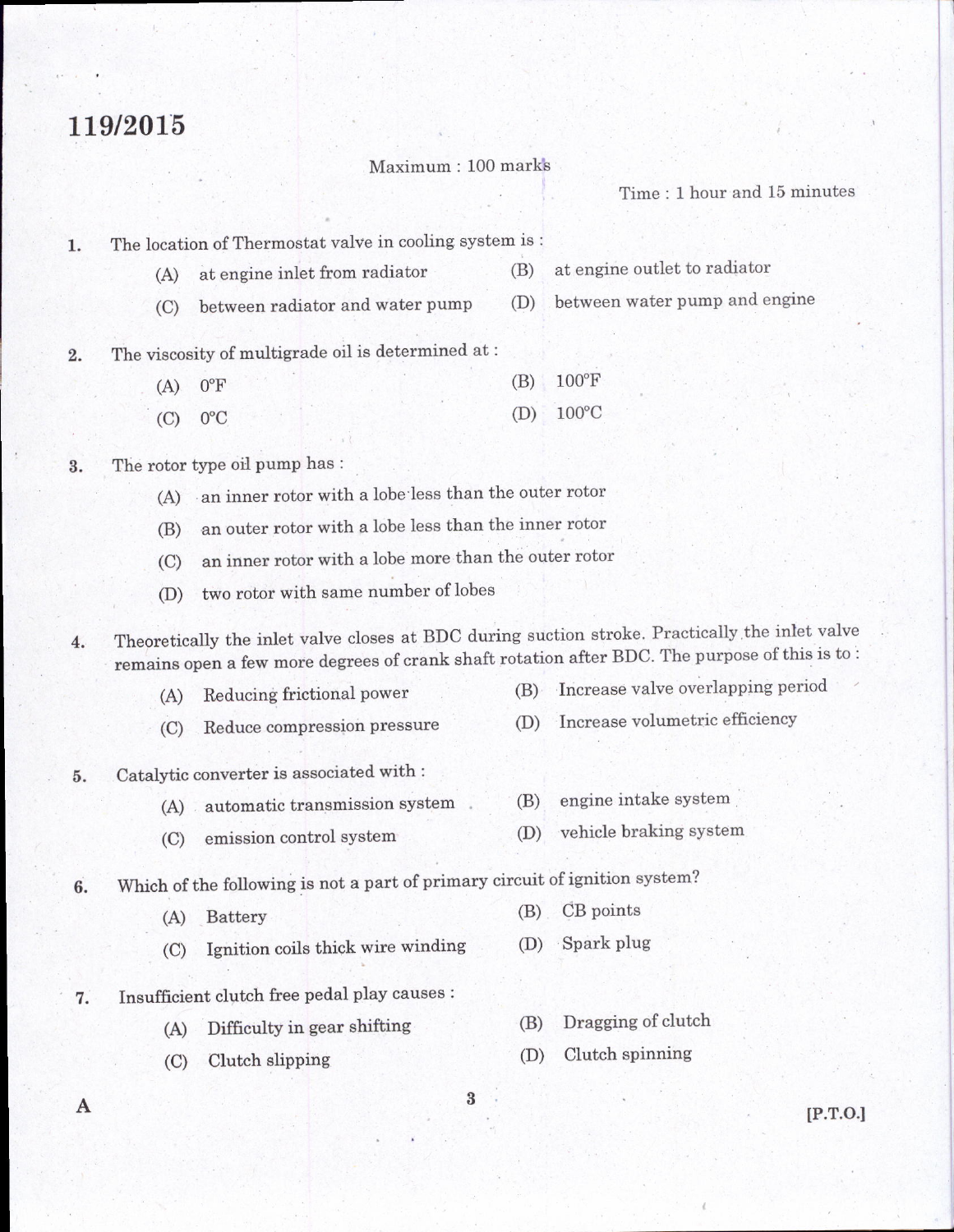## 119/2015

## Maximum: 100 mark's

Tirne : I hour and 15 minutes

The location of Thermostat valve in cooling system is : 1.

- (A) at engine inlet from radiator (B) at engine outlet to radiator
- (C) between radiator and water pump (D) between water PumP and engine
- ,. The viscosity of multigrade oil is determined at :

| $(A)$ $0^{\circ}$ F |  | $(B) 100^{\circ}F$ |
|---------------------|--|--------------------|
| $(C)$ $0^{\circ}C$  |  | $(D) 100^{\circ}C$ |

3. The rotor type oil pump has :

- (A) an inner rotor with a lobe less than the outer rotor
- (B) an outer rotor with a lobe less than the inner rotor
- (C) an inner rotor with a lobe more than the outer rotor
- (D) two rotor with same number of lobes

4. Theoretically the inlet valve closes at BDC during suction stroke. Practically the inlet valve remains open a few more degrees of crank shaft rotation after BDC. The purpose of this is to:

- (A) Reducing frictional power
- (B) Increase valve overlapping period
- (C) Reduce compression pressure (D) Increase volumetric efficiency

 $\overline{\mathbf{3}}$ 

5. Catalytic converter is associated with :

- (A) automatic transmission system (B) engine intake system
- (C) emission control system (D) vehicle braking system
- 6. Which of the following is not a part of primary circuit of ignition system?
	- (A) Battery (B) CB points
	- (C) Ignition coils thick wire winding (D) Spark plug
- 7. Insufficient clutch free pedal play causes :
	- (A) Difficulty in gear shifting
	- (C) Clutch slipping
- 
- (B) Dragging of clutch
- (D) Clutch spinning

A

lP.r.o.l